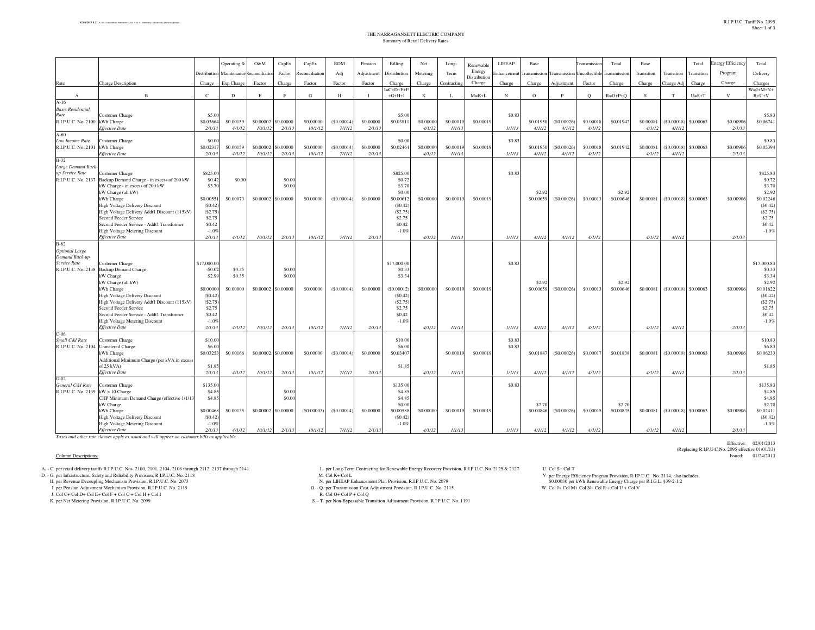## THE NARRAGANSETT ELECTRIC COMPANYSummary of Retail Delivery Rates

|                                    |                                                                |                   | Operating &         | O&M          | CapEx               | CapEx          | <b>RDM</b>           | Pension      | Billing             | Net       | Long-               | Renewable              | LIHEAP     | Base                |                     | <b>Transmission</b> | Total               | Base                |                      | Total      | nergy Efficiency | Total               |
|------------------------------------|----------------------------------------------------------------|-------------------|---------------------|--------------|---------------------|----------------|----------------------|--------------|---------------------|-----------|---------------------|------------------------|------------|---------------------|---------------------|---------------------|---------------------|---------------------|----------------------|------------|------------------|---------------------|
|                                    |                                                                | Distribution      | Maintenance         | econciliatic | Factor              | Reconciliation | Adj                  | Adjustment   | Distribution        | Metering  | Term                | Energy                 | inhancemer | Transmission        | <b>Transmission</b> | Jncollectibl        | Transmissio         | Transition          | Transition           | Transition | Program          | Delivery            |
| Rate                               | <b>Charge Description</b>                                      | Charge            | Exp Charge          | Factor       | Charge              | Factor         | Factor               | Factor       | Charge              | Charge    | Contracting         | Distribution<br>Charge | Charge     | Charge              | Adjustment          | Factor              | Charge              | Charge              | Charge Adj           | Charge     | Charge           | Charges             |
|                                    |                                                                |                   |                     |              |                     |                |                      |              | $=C+D+E+F$          |           |                     |                        |            |                     |                     |                     |                     |                     |                      |            |                  | $W = J + M + N +$   |
| $\mathbf{A}$                       | $\mathbf{B}$                                                   | $\mathcal{C}$     | D                   | E            | F                   | G              | H                    | $\mathbf{I}$ | $+G+H+I$            | K         | L                   | $M=K+L$                | N          | $\Omega$            | P                   | $\circ$             | $R = O + P + O$     | S.                  | T                    | $U=S+T$    | V                | $R+U+V$             |
| $A-16$<br><b>Basic Residential</b> |                                                                |                   |                     |              |                     |                |                      |              |                     |           |                     |                        |            |                     |                     |                     |                     |                     |                      |            |                  |                     |
| Rate                               | Customer Charge                                                | \$5.00            |                     |              |                     |                |                      |              | \$5.00              |           |                     |                        | \$0.83     |                     |                     |                     |                     |                     |                      |            |                  | \$5.8               |
| R.I.P.U.C. No. 2100                | kWh Charge                                                     | \$0.0366          | \$0.00159           | \$0,00002    | \$0,00000           | \$0,00000      | (S0,00014)           | \$0,00000    | \$0.0381            | \$0,00000 | \$0,00019           | \$0,0001               |            | \$0.01950           | $($ \$0,00026       | \$0,00018           | \$0.01942           | \$0.00081           | (S0,00018)           | \$0,00063  | \$0,00906        | \$0.06741           |
|                                    | <b>Effective Date</b>                                          | 2/1/1             | 4/1/12              | 10/1/12      | 2/1/13              | 10/1/12        | 7/1/12               | 2/1/13       |                     | 4/1/12    | 1/1/13              |                        | 1/1/13     | 4/1/12              | 4/1/12              | 4/1/12              |                     | 4/1/12              | 4/1/12               |            | 2/1/1            |                     |
| $A-60$                             |                                                                |                   |                     |              |                     |                |                      |              |                     |           |                     |                        |            |                     |                     |                     |                     |                     |                      |            |                  |                     |
| Low Income Rate                    | <b>Customer Charge</b>                                         | \$0.00            |                     | \$0,00002    | \$0,00000           | \$0,00000      |                      | \$0,00000    | \$0.00              | \$0,00000 |                     | \$0,00019              | \$0.83     |                     | $($ \$0,00026 $)$   |                     |                     |                     |                      |            | \$0,00906        | \$0.83              |
| R.I.P.U.C. No. 2101                | kWh Charge<br><b>Effective Date</b>                            | \$0.0231<br>2/1/1 | \$0.00159<br>4/1/12 | 10/1/12      | 2/1/13              | 10/1/12        | (S0.00014)<br>7/1/12 | 2/1/13       | \$0.02464           | 4/1/12    | \$0.00019<br>1/1/13 |                        | 1/1/13     | \$0.01950<br>4/1/12 | 4/1/12              | \$0.00018<br>4/1/12 | \$0.01942           | \$0.00081<br>4/1/12 | (S0.00018)<br>4/1/12 | \$0.00063  | 2/1/13           | \$0.05394           |
| $B-32$                             |                                                                |                   |                     |              |                     |                |                      |              |                     |           |                     |                        |            |                     |                     |                     |                     |                     |                      |            |                  |                     |
| Large Demand Back                  |                                                                |                   |                     |              |                     |                |                      |              |                     |           |                     |                        |            |                     |                     |                     |                     |                     |                      |            |                  |                     |
| up Service Rate                    | <b>Customer Charge</b>                                         | \$825.00          |                     |              |                     |                |                      |              | \$825.00            |           |                     |                        | \$0.83     |                     |                     |                     |                     |                     |                      |            |                  | \$825.83            |
| R.I.P.U.C. No. 2137                | Backup Demand Charge - in excess of 200 kW                     | \$0.42            | \$0.30              |              | \$0.00              |                |                      |              | \$0.72              |           |                     |                        |            |                     |                     |                     |                     |                     |                      |            |                  | \$0.72              |
|                                    | kW Charge - in excess of 200 kW                                | \$3.70            |                     |              | \$0.00              |                |                      |              | \$3.70              |           |                     |                        |            |                     |                     |                     |                     |                     |                      |            |                  | \$3.70              |
|                                    | kW Charge (all kW)<br>kWh Charge                               | \$0.0055          | \$0.00073           |              | \$0.00002 \$0.00000 | \$0.00000      | (S0.00014)           | \$0,00000    | \$0.00<br>\$0.00612 | \$0,00000 | \$0.00019           | \$0,0001               |            | \$2.92<br>\$0,00659 | (S0.00026)          | \$0.00013           | \$2.92<br>\$0.00646 | \$0.00081           | ( \$0,00018          | \$0.00063  | \$0,00906        | \$2.92<br>\$0.02246 |
|                                    | <b>High Voltage Delivery Discount</b>                          | (S0.42)           |                     |              |                     |                |                      |              | (S0.42)             |           |                     |                        |            |                     |                     |                     |                     |                     |                      |            |                  | (S0.42)             |
|                                    | High Voltage Delivery Addt'l Discount (115kV)                  | (S2.75)           |                     |              |                     |                |                      |              | (S2.75)             |           |                     |                        |            |                     |                     |                     |                     |                     |                      |            |                  | (S2.75)             |
|                                    | Second Feeder Service                                          | \$2.75            |                     |              |                     |                |                      |              | \$2.75              |           |                     |                        |            |                     |                     |                     |                     |                     |                      |            |                  | \$2.75              |
|                                    | Second Feeder Service - Addt'l Transformer                     | \$0.42            |                     |              |                     |                |                      |              | \$0.42              |           |                     |                        |            |                     |                     |                     |                     |                     |                      |            |                  | \$0.42              |
|                                    | <b>High Voltage Metering Discount</b>                          | $-1.09$           |                     |              |                     |                |                      |              | $-1.0%$             |           |                     |                        |            |                     |                     |                     |                     |                     |                      |            |                  | $-1.0%$             |
| <b>B-62</b>                        | <b>Effective Date</b>                                          | 2/1/13            | 4/1/12              | 10/1/12      | 2/1/13              | 10/1/12        | 7/1/12               | 2/1/13       |                     | 4/1/12    | 1/1/13              |                        | 1/1/13     | 4/1/12              | 4/1/12              | 4/1/12              |                     | 4/1/12              | 4/1/12               |            | 2/1/13           |                     |
| <b>Optional Large</b>              |                                                                |                   |                     |              |                     |                |                      |              |                     |           |                     |                        |            |                     |                     |                     |                     |                     |                      |            |                  |                     |
| Demand Back-up                     |                                                                |                   |                     |              |                     |                |                      |              |                     |           |                     |                        |            |                     |                     |                     |                     |                     |                      |            |                  |                     |
| Service Rate                       | Customer Charge                                                | \$17,000.00       |                     |              |                     |                |                      |              | \$17,000.00         |           |                     |                        | \$0.83     |                     |                     |                     |                     |                     |                      |            |                  | \$17,000.8          |
| R.I.P.U.C. No. 2138                | <b>Backup Demand Charge</b>                                    | $-$ \$0.02        | \$0.35              |              | \$0.00              |                |                      |              | \$0.33              |           |                     |                        |            |                     |                     |                     |                     |                     |                      |            |                  | \$0.33              |
|                                    | kW Charge                                                      | \$2.99            | \$0.35              |              | \$0.00              |                |                      |              | \$3.34              |           |                     |                        |            |                     |                     |                     |                     |                     |                      |            |                  | \$3.34              |
|                                    | kW Charge (all kW)                                             | \$0,00000         |                     |              | \$0,00002 \$0,00000 |                |                      | \$0,00000    | (S0,00012)          | \$0,00000 | \$0,00019           | \$0,0001               |            | \$2.92<br>\$0,00659 |                     | \$0,00013           | \$2.92<br>\$0,00646 | \$0,00081           |                      |            | \$0,00906        | \$2.92<br>\$0.01622 |
|                                    | kWh Charge<br>High Voltage Delivery Discount                   | (S0.42)           | \$0,00000           |              |                     | \$0,00000      | (S0,00014)           |              | (S0.42)             |           |                     |                        |            |                     | (S0,00026)          |                     |                     |                     | (S0,00018)           | \$0,00063  |                  | \$0.42              |
|                                    | High Voltage Delivery Addt'l Discount (115kV)                  | (S2.75)           |                     |              |                     |                |                      |              | (S2.75)             |           |                     |                        |            |                     |                     |                     |                     |                     |                      |            |                  | (S2.75)             |
|                                    | Second Feeder Service                                          | \$2.75            |                     |              |                     |                |                      |              | \$2.75              |           |                     |                        |            |                     |                     |                     |                     |                     |                      |            |                  | \$2.75              |
|                                    | Second Feeder Service - Addt'l Transformer                     | \$0.42            |                     |              |                     |                |                      |              | \$0.42              |           |                     |                        |            |                     |                     |                     |                     |                     |                      |            |                  | \$0.42              |
|                                    | <b>High Voltage Metering Discount</b>                          | $-1.09$           |                     |              |                     |                |                      |              | $-1.0%$             |           |                     |                        |            |                     |                     |                     |                     |                     |                      |            |                  | $-1.0%$             |
| $C-06$                             | Effective Date                                                 | 2/1/13            | 4/1/12              | 10/1/12      | 2/1/13              | 10/1/12        | 7/1/12               | 2/1/13       |                     | 4/1/12    | 1/1/13              |                        | 1/1/13     | 4/1/12              | 4/1/12              | 4/1/12              |                     | 4/1/12              | 4/1/12               |            | 2/1/13           |                     |
| Small C&I Rate                     | <b>Customer Charge</b>                                         | \$10.00           |                     |              |                     |                |                      |              | \$10.00             |           |                     |                        | \$0.83     |                     |                     |                     |                     |                     |                      |            |                  | \$10.83             |
| R.I.P.U.C. No. 2104                | <b>Unmetered Charge</b>                                        | \$6.00            |                     |              |                     |                |                      |              | \$6.00              |           |                     |                        | \$0.83     |                     |                     |                     |                     |                     |                      |            |                  | \$6.83              |
|                                    | kWh Charge                                                     | \$0.0325          | \$0.00166           |              | \$0.00002 \$0.00000 | \$0.00000      | (S0.00014)           | \$0,00000    | \$0.03407           |           | \$0.00019           | \$0,0001               |            | \$0.01847           | (S0.00026)          | \$0.0001            | \$0.01838           | \$0.00081           | (S0.00018)           | \$0.00063  | \$0,00906        | \$0.06233           |
|                                    | Additional Minimum Charge (per kVA in excess                   |                   |                     |              |                     |                |                      |              |                     |           |                     |                        |            |                     |                     |                     |                     |                     |                      |            |                  |                     |
|                                    | of 25 kVA)                                                     | \$1.8             |                     |              |                     |                |                      |              | \$1.85              |           |                     |                        |            |                     |                     |                     |                     |                     |                      |            |                  | \$1.85              |
|                                    | <b>Effective Date</b>                                          | 2/1/13            | 4/1/12              | 10/1/12      | 2/1/13              | 10/1/12        | 7/1/12               | 2/1/13       |                     | 4/1/12    | 1/1/13              |                        | 1/1/13     | 4/1/12              | 4/1/12              | 4/1/12              |                     | 4/1/12              | 4/1/12               |            | 2/1/13           |                     |
| $G-02$<br>General C&I Rate         | <b>Customer Charge</b>                                         | \$135.00          |                     |              |                     |                |                      |              | \$135.00            |           |                     |                        | \$0.83     |                     |                     |                     |                     |                     |                      |            |                  | \$135.83            |
| R.I.P.U.C. No. 2139 kW > 10 Charge |                                                                | \$4.8             |                     |              | \$0.00              |                |                      |              | \$4.85              |           |                     |                        |            |                     |                     |                     |                     |                     |                      |            |                  | \$4.85              |
|                                    | CHP Minimum Demand Charge (effective 1/1/13                    | \$4.8             |                     |              | \$0.00              |                |                      |              | \$4.85              |           |                     |                        |            |                     |                     |                     |                     |                     |                      |            |                  | \$4.85              |
|                                    | kW Charge                                                      |                   |                     |              |                     |                |                      |              | \$0.00              |           |                     |                        |            | \$2.70              |                     |                     | \$2.70              |                     |                      |            |                  | \$2.70              |
|                                    | kWh Charge                                                     | \$0.00468         | \$0.00135           |              | \$0,00002 \$0,00000 | (S0.00003)     | (S0.00014)           | \$0,00000    | \$0.00588           | \$0,00000 | \$0.00019           | \$0,0001               |            | \$0,00846           | (S0.00026)          | \$0.0001            | \$0.0083            | \$0.00081           | (S0.00018)           | \$0.00063  | \$0,00906        | \$0.0241            |
|                                    | High Voltage Delivery Discount                                 | (S0.42)           |                     |              |                     |                |                      |              | (S0.42)             |           |                     |                        |            |                     |                     |                     |                     |                     |                      |            |                  | (S0.42)             |
|                                    | <b>High Voltage Metering Discount</b><br><b>Effective Date</b> | $-1.09$<br>2/1/13 | 4/1/12              | 10/1/12      | 2/1/13              | 10/1/12        | 7/1/12               | 2/1/13       | $-1.0%$             | 4/1/12    | 1/1/13              |                        | 1/1/13     | 4/1/12              | 4/1/12              | 4/1/12              |                     | 4/1/12              | 4/1/12               |            | 2/1/13           | $-1.0%$             |
|                                    |                                                                |                   |                     |              |                     |                |                      |              |                     |           |                     |                        |            |                     |                     |                     |                     |                     |                      |            |                  |                     |

*Effective DateTaxes and other rate clauses apply as usual and will appear on customer bills as applicable.*

## Column Descriptions:

- 
- H. per Revenue Decoupling Mechanism Provision, R.I.P.U.C. No. 2073

- I. per Pension Adjustment Mechanism Provision, R.I.P.U.C. No. 2119<br>J. Col C+ Col D+ Col E+ Col F + Col G + Col H + Col I
- K. per Net Metering Provision, R.I.P.U.C. No. 2099
- A. C. per retail delivery tariffs R.I.P.U.C. Nos. 2100, 2101, 2104, 2108 through 2112, 2137 through 2141 and the Long-Term Contracting for Renewable Energy Recovery Provision, R.I.P.U.C. No. 2125 & 2127 U. Col S+ Col T<br>D L. per Long-Term Contracting for Renewable Energy Recovery Provision, R.I.P.U.C. No. 2125 & 2127 M. Col $\rm K+Col$  L
	-
	- N. per LIHEAP Enhancement Plan Provision, R.I.P.U.C. No. 2079
	- O. Q. per Transmission Cost Adjustment Provision, R.I.P.U.C. No. 2115 W. Col J+ Col M+ Col N+ Col R + Col U + Col V R. Col O+ Col P + Col Q
		-
	- S. T. per Non-Bypassable Transition Adjustment Provision, R.I.P.U.C. No. 1191

 (Replacing R.I.P.U.C No. 2095 effective 01/01/13)Issued: 01/24/2013 Issued: 01/24/2013

Effective: 02/01/2013

per Energy Efficiency Program Provision, R.I.P.U.C. No. 2114, also includes \$0.00030 per kWh Renewable Energy Charge per R.I.G.L. §39-2-1.2